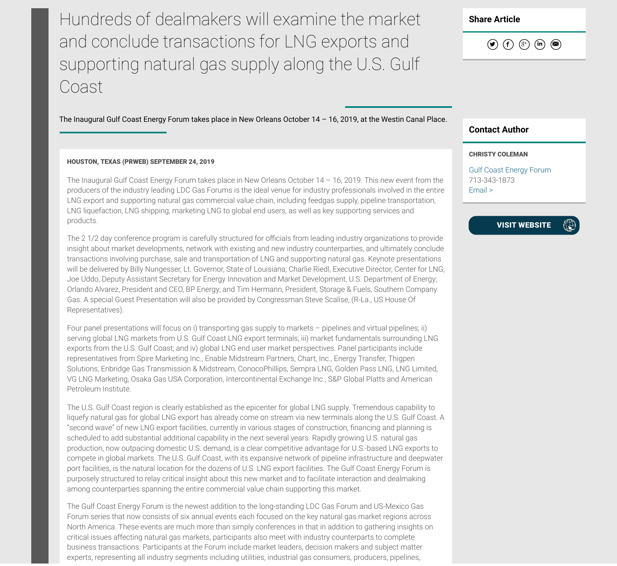Hundreds of dealmakers will examine the market and conclude transactions for LNG exports and supporting natural gas supply along the U.S. Gulf Coast

The Inaugural Gulf Coast Energy Forum takes place in New Orleans October 14 – 16, 2019, at the Westin Canal Place.

## HOUSTON, TEXAS (PRWEB) SEPTEMBER 24, 2019

The Inaugural Gulf Coast Energy Forum takes place in New Orleans October 14 – 16, 2019. This new event from the producers of the industry leading LDC Gas Forums is the ideal venue for industry professionals involved in the entire LNG export and supporting natural gas commercial value chain, including feedgas supply, pipeline transportation, LNG liquefaction, LNG shipping, marketing LNG to global end users, as well as key supporting services and products.

The 21/2 day conference program is carefully structured for officials from leading industry organizations to provide insight about market developments, network with existing and new industry counterparties, and ultimately conclude transactions involving purchase, sale and transportation of LNG and supporting natural gas. Keynote presentations will be delivered by Billy Nungesser, Lt. Governor, State of Louisiana; Charlie Riedl, Executive Director, Center for LNG; Joe Uddo, Deputy Assistant Secretary for Energy Innovation and Market Development, U.S. Department of Energy; Orlando Alvarez, President and CEO, BP Energy; and Tim Hermann, President, Storage & Fuels, Southern Company Gas. A special Guest Presentation will also be provided by Congressman Steve Scalise, (R-La., US House Of Representatives).

Four panel presentations will focus on i) transporting gas supply to markets – pipelines and virtual pipelines; ii) serving global LNG markets from U.S. Gulf Coast LNG export terminals; iii) market fundamentals surrounding LNG exports from the U.S. Gulf Coast; and iv) global LNG end user market perspectives. Panel participants include representatives from Spire Marketing Inc., Enable Midstream Partners, Chart, Inc., Energy Transfer, Thigpen Solutions, Enbridge Gas Transmission & Midstream, ConocoPhillips, Sempra LNG, Golden Pass LNG, LNG Limited, VG LNG Marketing, Osaka Gas USA Corporation, Intercontinental Exchange Inc., S&P Global Platts and American Petroleum Institute.

The U.S. Gulf Coast region is clearly established as the epicenter for global LNG supply. Tremendous capability to liquefy natural gas for global LNG export has already come on stream via new terminals along the U.S. Gulf Coast. A "second wave" of new LNG export facilities, currently in various stages of construction, financing and planning is scheduled to add substantial additional capability in the next several years. Rapidly growing U.S. natural gas production, now outpacing domestic U.S. demand, is a clear competitive advantage for U.S.-based LNG exports to compete in global markets. The U.S. Gulf Coast, with its expansive network of pipeline infrastructure and deepwater port facilities, is the natural location for the dozens of U.S. LNG export facilities. The Gulf Coast Energy Forum is purposely structured to relay critical insight about this new market and to facilitate interaction and dealmaking among counterparties spanning the entire commercial value chain supporting this market.

The Gulf Coast Energy Forum is the newest addition to the long-standing LDC Gas Forum and US-Mexico Gas Forum series that now consists of six annual events each focused on the key natural gas market regions across North America. These events are much more than simply conferences in that in addition to gathering insights on critical issues affecting natural gas markets, participants also meet with industry counterparts to complete business transactions. Participants at the Forum include market leaders, decision makers and subject matter experts, representing all industry segments including utilities, industrial gas consumers, producers, pipelines,

Share Article

 $\circledast$  (f)  $\circledast$  (in)  $\circledast$ 

## Contact Author

## CHRISTY COLEMAN

Gulf Coast Energy Forum 713-343-1873 Email >

## VISIT WEBSITE

 $\oplus$